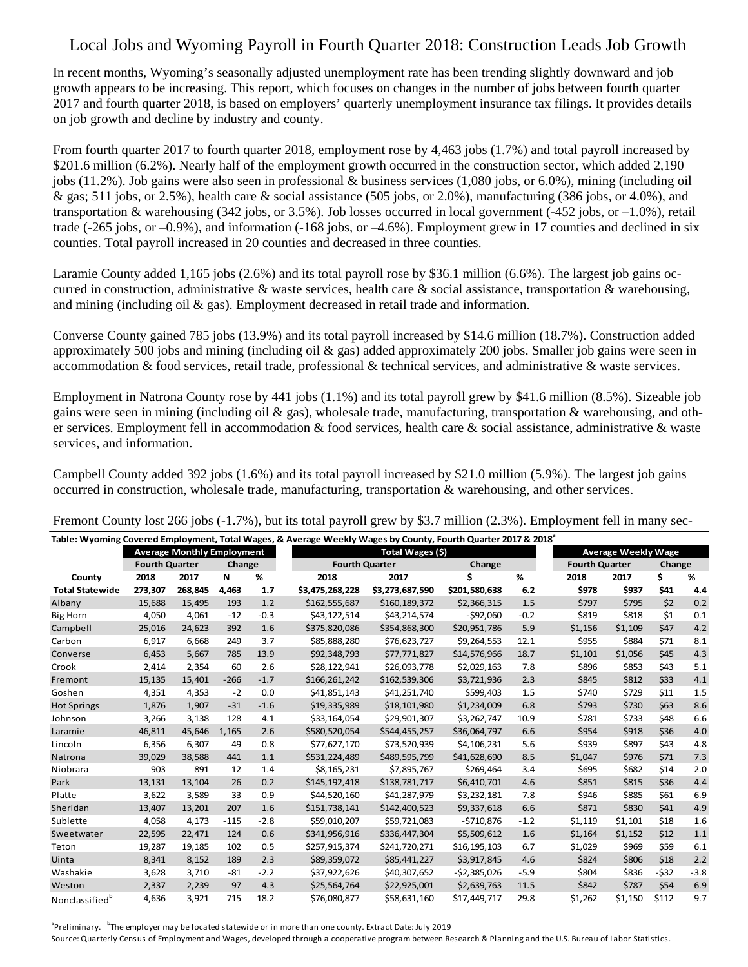## Local Jobs and Wyoming Payroll in Fourth Quarter 2018: Construction Leads Job Growth

In recent months, Wyoming's seasonally adjusted unemployment rate has been trending slightly downward and job growth appears to be increasing. This report, which focuses on changes in the number of jobs between fourth quarter 2017 and fourth quarter 2018, is based on employers' quarterly unemployment insurance tax filings. It provides details on job growth and decline by industry and county.

From fourth quarter 2017 to fourth quarter 2018, employment rose by 4,463 jobs (1.7%) and total payroll increased by \$201.6 million (6.2%). Nearly half of the employment growth occurred in the construction sector, which added 2,190 jobs (11.2%). Job gains were also seen in professional & business services (1,080 jobs, or 6.0%), mining (including oil & gas; 511 jobs, or 2.5%), health care & social assistance (505 jobs, or 2.0%), manufacturing (386 jobs, or 4.0%), and transportation & warehousing (342 jobs, or 3.5%). Job losses occurred in local government (-452 jobs, or  $-1.0\%$ ), retail trade  $(-265 \text{ jobs}, \text{or } -0.9\%)$ , and information  $(-168 \text{ jobs}, \text{or } -4.6\%)$ . Employment grew in 17 counties and declined in six counties. Total payroll increased in 20 counties and decreased in three counties.

Laramie County added 1,165 jobs (2.6%) and its total payroll rose by \$36.1 million (6.6%). The largest job gains occurred in construction, administrative  $\&$  waste services, health care  $\&$  social assistance, transportation  $\&$  warehousing, and mining (including oil  $\&$  gas). Employment decreased in retail trade and information.

Converse County gained 785 jobs (13.9%) and its total payroll increased by \$14.6 million (18.7%). Construction added approximately 500 jobs and mining (including oil  $\&$  gas) added approximately 200 jobs. Smaller job gains were seen in accommodation & food services, retail trade, professional & technical services, and administrative & waste services.

Employment in Natrona County rose by 441 jobs (1.1%) and its total payroll grew by \$41.6 million (8.5%). Sizeable job gains were seen in mining (including oil  $\&$  gas), wholesale trade, manufacturing, transportation  $\&$  warehousing, and other services. Employment fell in accommodation & food services, health care & social assistance, administrative & waste services, and information.

Campbell County added 392 jobs (1.6%) and its total payroll increased by \$21.0 million (5.9%). The largest job gains occurred in construction, wholesale trade, manufacturing, transportation & warehousing, and other services.

| Table: Wyoming Covered Employment, Total Wages, & Average Weekly Wages by County, Fourth Quarter 2017 & 2018 <sup>ª</sup> |                       |         |        |        |                       |                 |               |        |         |                            |        |         |  |
|---------------------------------------------------------------------------------------------------------------------------|-----------------------|---------|--------|--------|-----------------------|-----------------|---------------|--------|---------|----------------------------|--------|---------|--|
| <b>Average Monthly Employment</b>                                                                                         |                       |         |        |        | Total Wages (\$)      |                 |               |        |         | <b>Average Weekly Wage</b> |        |         |  |
|                                                                                                                           | <b>Fourth Quarter</b> |         | Change |        | <b>Fourth Quarter</b> |                 | Change        |        |         | <b>Fourth Quarter</b>      |        | Change  |  |
| County                                                                                                                    | 2018                  | 2017    | N      | %      | 2018                  | 2017            | \$            | %      | 2018    | 2017                       | \$     | %       |  |
| <b>Total Statewide</b>                                                                                                    | 273,307               | 268,845 | 4,463  | 1.7    | \$3,475,268,228       | \$3,273,687,590 | \$201,580,638 | 6.2    | \$978   | \$937                      | \$41   | 4.4     |  |
| Albany                                                                                                                    | 15,688                | 15,495  | 193    | 1.2    | \$162,555,687         | \$160,189,372   | \$2,366,315   | 1.5    | \$797   | \$795                      | \$2    | 0.2     |  |
| <b>Big Horn</b>                                                                                                           | 4,050                 | 4,061   | $-12$  | $-0.3$ | \$43,122,514          | \$43,214,574    | $-592,060$    | $-0.2$ | \$819   | \$818                      | \$1    | 0.1     |  |
| Campbell                                                                                                                  | 25,016                | 24,623  | 392    | 1.6    | \$375,820,086         | \$354,868,300   | \$20,951,786  | 5.9    | \$1,156 | \$1,109                    | \$47   | 4.2     |  |
| Carbon                                                                                                                    | 6,917                 | 6,668   | 249    | 3.7    | \$85,888,280          | \$76,623,727    | \$9,264,553   | 12.1   | \$955   | \$884                      | \$71   | 8.1     |  |
| Converse                                                                                                                  | 6,453                 | 5,667   | 785    | 13.9   | \$92,348,793          | \$77,771,827    | \$14,576,966  | 18.7   | \$1,101 | \$1,056                    | \$45   | 4.3     |  |
| Crook                                                                                                                     | 2,414                 | 2,354   | 60     | 2.6    | \$28,122,941          | \$26,093,778    | \$2,029,163   | 7.8    | \$896   | \$853                      | \$43   | 5.1     |  |
| Fremont                                                                                                                   | 15,135                | 15,401  | $-266$ | $-1.7$ | \$166,261,242         | \$162,539,306   | \$3,721,936   | 2.3    | \$845   | \$812                      | \$33   | 4.1     |  |
| Goshen                                                                                                                    | 4,351                 | 4,353   | $-2$   | 0.0    | \$41,851,143          | \$41,251,740    | \$599,403     | 1.5    | \$740   | \$729                      | \$11   | 1.5     |  |
| <b>Hot Springs</b>                                                                                                        | 1,876                 | 1,907   | $-31$  | $-1.6$ | \$19,335,989          | \$18,101,980    | \$1,234,009   | 6.8    | \$793   | \$730                      | \$63   | 8.6     |  |
| Johnson                                                                                                                   | 3,266                 | 3,138   | 128    | 4.1    | \$33,164,054          | \$29,901,307    | \$3,262,747   | 10.9   | \$781   | \$733                      | \$48   | 6.6     |  |
| Laramie                                                                                                                   | 46,811                | 45,646  | 1,165  | 2.6    | \$580,520,054         | \$544,455,257   | \$36,064,797  | 6.6    | \$954   | \$918                      | \$36   | 4.0     |  |
| Lincoln                                                                                                                   | 6,356                 | 6,307   | 49     | 0.8    | \$77,627,170          | \$73,520,939    | \$4,106,231   | 5.6    | \$939   | \$897                      | \$43   | 4.8     |  |
| <b>Natrona</b>                                                                                                            | 39,029                | 38,588  | 441    | 1.1    | \$531,224,489         | \$489,595,799   | \$41,628,690  | 8.5    | \$1,047 | \$976                      | \$71   | 7.3     |  |
| Niobrara                                                                                                                  | 903                   | 891     | 12     | 1.4    | \$8,165,231           | \$7,895,767     | \$269,464     | 3.4    | \$695   | \$682                      | \$14   | 2.0     |  |
| Park                                                                                                                      | 13,131                | 13,104  | 26     | 0.2    | \$145,192,418         | \$138,781,717   | \$6,410,701   | 4.6    | \$851   | \$815                      | \$36   | 4.4     |  |
| Platte                                                                                                                    | 3,622                 | 3,589   | 33     | 0.9    | \$44,520,160          | \$41,287,979    | \$3,232,181   | 7.8    | \$946   | \$885                      | \$61   | 6.9     |  |
| Sheridan                                                                                                                  | 13,407                | 13,201  | 207    | 1.6    | \$151,738,141         | \$142,400,523   | \$9,337,618   | 6.6    | \$871   | \$830                      | \$41   | 4.9     |  |
| Sublette                                                                                                                  | 4,058                 | 4,173   | $-115$ | $-2.8$ | \$59,010,207          | \$59,721,083    | $-5710,876$   | $-1.2$ | \$1,119 | \$1,101                    | \$18   | 1.6     |  |
| Sweetwater                                                                                                                | 22,595                | 22,471  | 124    | 0.6    | \$341,956,916         | \$336,447,304   | \$5,509,612   | 1.6    | \$1,164 | \$1,152                    | \$12   | 1.1     |  |
| Teton                                                                                                                     | 19,287                | 19,185  | 102    | 0.5    | \$257,915,374         | \$241,720,271   | \$16,195,103  | 6.7    | \$1,029 | \$969                      | \$59   | 6.1     |  |
| Uinta                                                                                                                     | 8,341                 | 8,152   | 189    | 2.3    | \$89,359,072          | \$85,441,227    | \$3,917,845   | 4.6    | \$824   | \$806                      | \$18   | 2.2     |  |
| Washakie                                                                                                                  | 3,628                 | 3,710   | $-81$  | $-2.2$ | \$37,922,626          | \$40,307,652    | $-52,385,026$ | $-5.9$ | \$804   | \$836                      | $-532$ | $-3.8$  |  |
| Weston                                                                                                                    | 2,337                 | 2,239   | 97     | 4.3    | \$25,564,764          | \$22,925,001    | \$2,639,763   | 11.5   | \$842   | \$787                      | \$54   | $6.9\,$ |  |
| Nonclassified <sup>b</sup>                                                                                                | 4,636                 | 3,921   | 715    | 18.2   | \$76,080,877          | \$58,631,160    | \$17,449,717  | 29.8   | \$1,262 | \$1,150                    | \$112  | 9.7     |  |

Fremont County lost 266 jobs (-1.7%), but its total payroll grew by \$3.7 million (2.3%). Employment fell in many sec-

<sup>a</sup>Preliminary. <sup>b</sup>The employer may be located statewide or in more than one county. Extract Date: July 2019

Source: Quarterly Census of Employment and Wages, developed through a cooperative program between Research & Planning and the U.S. Bureau of Labor Statistics.